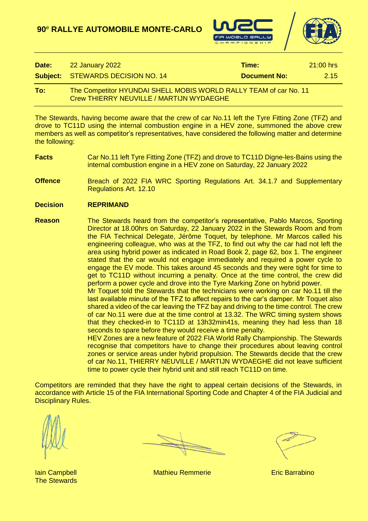**90**<sup>e</sup> **RALLYE AUTOMOBILE MONTE-CARLO**





| Date: | 22 January 2022                                                                                                      | Time:               | $21:00$ hrs |
|-------|----------------------------------------------------------------------------------------------------------------------|---------------------|-------------|
|       | <b>Subject: STEWARDS DECISION NO. 14</b>                                                                             | <b>Document No:</b> | 2.15        |
| To:   | The Competitor HYUNDAI SHELL MOBIS WORLD RALLY TEAM of car No. 11<br><b>Crew THIERRY NEUVILLE / MARTIJN WYDAEGHE</b> |                     |             |

The Stewards, having become aware that the crew of car No.11 left the Tyre Fitting Zone (TFZ) and drove to TC11D using the internal combustion engine in a HEV zone, summoned the above crew members as well as competitor's representatives, have considered the following matter and determine the following:

**Facts** Car No.11 left Tyre Fitting Zone (TFZ) and drove to TC11D Digne-les-Bains using the internal combustion engine in a HEV zone on Saturday, 22 January 2022

**Offence** Breach of 2022 FIA WRC Sporting Regulations Art. 34.1.7 and Supplementary Regulations Art. 12.10

**Decision REPRIMAND**

**Reason** The Stewards heard from the competitor's representative, Pablo Marcos, Sporting Director at 18.00hrs on Saturday, 22 January 2022 in the Stewards Room and from the FIA Technical Delegate, Jérôme Toquet, by telephone. Mr Marcos called his engineering colleague, who was at the TFZ, to find out why the car had not left the area using hybrid power as indicated in Road Book 2, page 62, box 1. The engineer stated that the car would not engage immediately and required a power cycle to engage the EV mode. This takes around 45 seconds and they were tight for time to get to TC11D without incurring a penalty. Once at the time control, the crew did perform a power cycle and drove into the Tyre Marking Zone on hybrid power. Mr Toquet told the Stewards that the technicians were working on car No.11 till the last available minute of the TFZ to affect repairs to the car's damper. Mr Toquet also

shared a video of the car leaving the TFZ bay and driving to the time control. The crew of car No.11 were due at the time control at 13.32. The WRC timing system shows that they checked-in to TC11D at 13h32min41s, meaning they had less than 18 seconds to spare before they would receive a time penalty.

HEV Zones are a new feature of 2022 FIA World Rally Championship. The Stewards recognise that competitors have to change their procedures about leaving control zones or service areas under hybrid propulsion. The Stewards decide that the crew of car No.11, THIERRY NEUVILLE / MARTIJN WYDAEGHE did not leave sufficient time to power cycle their hybrid unit and still reach TC11D on time.

Competitors are reminded that they have the right to appeal certain decisions of the Stewards, in accordance with Article 15 of the FIA International Sporting Code and Chapter 4 of the FIA Judicial and Disciplinary Rules.

The Stewards

**Iain Campbell Mathieu Remmerie Eric Barrabino**